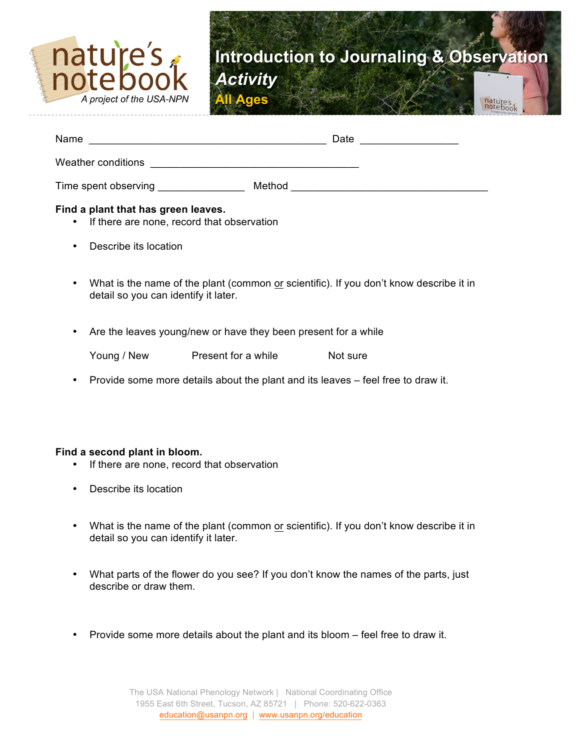

| Name<br><u> 1980 - Jan Alexandri, manazarta bashkar (</u>                           |  | Date<br>the control of the control of the control of |  |  |
|-------------------------------------------------------------------------------------|--|------------------------------------------------------|--|--|
| Weather conditions                                                                  |  |                                                      |  |  |
| Time spent observing Time spent of the serving                                      |  |                                                      |  |  |
| Find a plant that has green leaves.<br>• If there are none, record that observation |  |                                                      |  |  |
| Describe its location<br>$\bullet$                                                  |  |                                                      |  |  |

- What is the name of the plant (common or scientific). If you don't know describe it in detail so you can identify it later.
- Are the leaves young/new or have they been present for a while

| Young / New | Present for a while | Not sure |
|-------------|---------------------|----------|
|             |                     |          |

• Provide some more details about the plant and its leaves – feel free to draw it.

### **Find a second plant in bloom.**

- If there are none, record that observation
- Describe its location
- What is the name of the plant (common or scientific). If you don't know describe it in detail so you can identify it later.
- What parts of the flower do you see? If you don't know the names of the parts, just describe or draw them.
- Provide some more details about the plant and its bloom feel free to draw it.